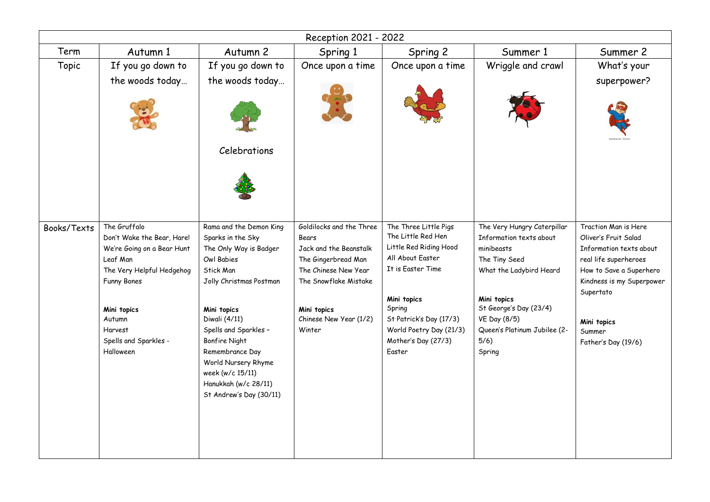|             | Reception 2021 - 2022                                                                                                                                                                                             |                                                                                                                                                                                                                                                                                                                                |                                                                                                                                                                                        |                                                                                                                                                                                                                                |                                                                                                                                                                                                                             |                                                                                                                                                                                                                       |  |
|-------------|-------------------------------------------------------------------------------------------------------------------------------------------------------------------------------------------------------------------|--------------------------------------------------------------------------------------------------------------------------------------------------------------------------------------------------------------------------------------------------------------------------------------------------------------------------------|----------------------------------------------------------------------------------------------------------------------------------------------------------------------------------------|--------------------------------------------------------------------------------------------------------------------------------------------------------------------------------------------------------------------------------|-----------------------------------------------------------------------------------------------------------------------------------------------------------------------------------------------------------------------------|-----------------------------------------------------------------------------------------------------------------------------------------------------------------------------------------------------------------------|--|
| Term        | Autumn 1                                                                                                                                                                                                          | Autumn 2                                                                                                                                                                                                                                                                                                                       | Spring 1                                                                                                                                                                               | Spring 2                                                                                                                                                                                                                       | Summer 1                                                                                                                                                                                                                    | Summer 2                                                                                                                                                                                                              |  |
| Topic       | If you go down to<br>the woods today                                                                                                                                                                              | If you go down to<br>the woods today<br>Celebrations                                                                                                                                                                                                                                                                           | Once upon a time                                                                                                                                                                       | Once upon a time                                                                                                                                                                                                               | Wriggle and crawl                                                                                                                                                                                                           | What's your<br>superpower?                                                                                                                                                                                            |  |
| Books/Texts | The Gruffalo<br>Don't Wake the Bear, Hare!<br>We're Going on a Bear Hunt<br>Leaf Man<br>The Very Helpful Hedgehog<br>Funny Bones<br>Mini topics<br>Autumn<br><b>Harvest</b><br>Spells and Sparkles -<br>Halloween | Rama and the Demon King<br>Sparks in the Sky<br>The Only Way is Badger<br>Owl Babies<br>Stick Man<br>Jolly Christmas Postman<br>Mini topics<br>Diwali (4/11)<br>Spells and Sparkles -<br><b>Bonfire Night</b><br>Remembrance Day<br>World Nursery Rhyme<br>week (w/c 15/11)<br>Hanukkah (w/c 28/11)<br>St Andrew's Day (30/11) | Goldilocks and the Three<br>Bears<br>Jack and the Beanstalk<br>The Gingerbread Man<br>The Chinese New Year<br>The Snowflake Mistake<br>Mini topics<br>Chinese New Year (1/2)<br>Winter | The Three Little Pigs<br>The Little Red Hen<br>Little Red Riding Hood<br>All About Easter<br>It is Easter Time<br>Mini topics<br>Spring<br>St Patrick's Day (17/3)<br>World Poetry Day (21/3)<br>Mother's Day (27/3)<br>Easter | The Very Hungry Caterpillar<br>Information texts about<br>minibeasts<br>The Tiny Seed<br>What the Ladybird Heard<br>Mini topics<br>St George's Day (23/4)<br>VE Day (8/5)<br>Queen's Platinum Jubilee (2-<br>5/6)<br>Spring | Traction Man is Here<br>Oliver's Fruit Salad<br>Information texts about<br>real life superheroes<br>How to Save a Superhero<br>Kindness is my Superpower<br>Supertato<br>Mini topics<br>Summer<br>Father's Day (19/6) |  |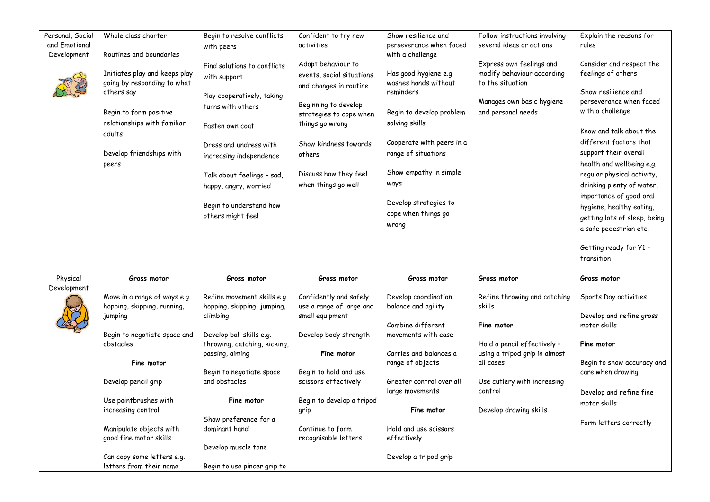| Personal, Social | Whole class charter                                   | Begin to resolve conflicts   | Confident to try new      | Show resilience and       | Follow instructions involving | Explain the reasons for      |
|------------------|-------------------------------------------------------|------------------------------|---------------------------|---------------------------|-------------------------------|------------------------------|
| and Emotional    |                                                       | with peers                   | activities                | perseverance when faced   | several ideas or actions      | rules                        |
| Development      | Routines and boundaries                               |                              |                           | with a challenge          |                               |                              |
|                  |                                                       | Find solutions to conflicts  | Adapt behaviour to        |                           | Express own feelings and      | Consider and respect the     |
|                  | Initiates play and keeps play                         |                              | events, social situations | Has good hygiene e.g.     | modify behaviour according    | feelings of others           |
|                  | going by responding to what                           | with support                 |                           | washes hands without      | to the situation              |                              |
|                  |                                                       |                              | and changes in routine    |                           |                               |                              |
|                  | others say                                            | Play cooperatively, taking   |                           | reminders                 |                               | Show resilience and          |
|                  |                                                       | turns with others            | Beginning to develop      |                           | Manages own basic hygiene     | perseverance when faced      |
|                  | Begin to form positive                                |                              | strategies to cope when   | Begin to develop problem  | and personal needs            | with a challenge             |
|                  | relationships with familiar                           |                              | things go wrong           | solving skills            |                               |                              |
|                  |                                                       | Fasten own coat              |                           |                           |                               | Know and talk about the      |
|                  | adults                                                |                              |                           |                           |                               |                              |
|                  |                                                       | Dress and undress with       | Show kindness towards     | Cooperate with peers in a |                               | different factors that       |
|                  | Develop friendships with                              | increasing independence      | others                    | range of situations       |                               | support their overall        |
|                  | peers                                                 |                              |                           |                           |                               | health and wellbeing e.g.    |
|                  |                                                       |                              | Discuss how they feel     | Show empathy in simple    |                               | regular physical activity,   |
|                  |                                                       | Talk about feelings - sad,   |                           |                           |                               |                              |
|                  |                                                       | happy, angry, worried        | when things go well       | ways                      |                               | drinking plenty of water,    |
|                  |                                                       |                              |                           |                           |                               | importance of good oral      |
|                  |                                                       | Begin to understand how      |                           | Develop strategies to     |                               | hygiene, healthy eating,     |
|                  |                                                       | others might feel            |                           | cope when things go       |                               |                              |
|                  |                                                       |                              |                           | wrong                     |                               | getting lots of sleep, being |
|                  |                                                       |                              |                           |                           |                               | a safe pedestrian etc.       |
|                  |                                                       |                              |                           |                           |                               |                              |
|                  |                                                       |                              |                           |                           |                               | Getting ready for Y1 -       |
|                  |                                                       |                              |                           |                           |                               | transition                   |
|                  |                                                       |                              |                           |                           |                               |                              |
|                  |                                                       |                              |                           |                           |                               |                              |
| Physical         | Gross motor                                           | Gross motor                  | Gross motor               | Gross motor               | Gross motor                   | Gross motor                  |
| Development      |                                                       |                              |                           |                           |                               |                              |
|                  | Move in a range of ways e.g.                          | Refine movement skills e.g.  | Confidently and safely    | Develop coordination,     | Refine throwing and catching  | Sports Day activities        |
|                  | hopping, skipping, running,                           | hopping, skipping, jumping,  | use a range of large and  | balance and agility       | skills                        |                              |
|                  | jumping                                               | climbing                     | small equipment           |                           |                               |                              |
|                  |                                                       |                              |                           |                           |                               | Develop and refine gross     |
|                  |                                                       |                              |                           | Combine different         |                               |                              |
|                  |                                                       |                              |                           |                           | Fine motor                    | motor skills                 |
|                  | Begin to negotiate space and                          | Develop ball skills e.g.     | Develop body strength     | movements with ease       |                               |                              |
|                  | obstacles                                             | throwing, catching, kicking, |                           |                           | Hold a pencil effectively -   | Fine motor                   |
|                  |                                                       | passing, aiming              | Fine motor                | Carries and balances a    | using a tripod grip in almost |                              |
|                  | Fine motor                                            |                              |                           | range of objects          | all cases                     | Begin to show accuracy and   |
|                  |                                                       | Begin to negotiate space     | Begin to hold and use     |                           |                               | care when drawing            |
|                  | Develop pencil grip                                   | and obstacles                | scissors effectively      | Greater control over all  | Use cutlery with increasing   |                              |
|                  |                                                       |                              |                           | large movements           | control                       |                              |
|                  | Use paintbrushes with                                 | Fine motor                   | Begin to develop a tripod |                           |                               | Develop and refine fine      |
|                  |                                                       |                              |                           |                           |                               | motor skills                 |
|                  | increasing control                                    |                              | grip                      | Fine motor                | Develop drawing skills        |                              |
|                  |                                                       | Show preference for a        |                           |                           |                               | Form letters correctly       |
|                  | Manipulate objects with                               | dominant hand                | Continue to form          | Hold and use scissors     |                               |                              |
|                  | good fine motor skills                                |                              | recognisable letters      | effectively               |                               |                              |
|                  |                                                       | Develop muscle tone          |                           |                           |                               |                              |
|                  | Can copy some letters e.g.<br>letters from their name | Begin to use pincer grip to  |                           | Develop a tripod grip     |                               |                              |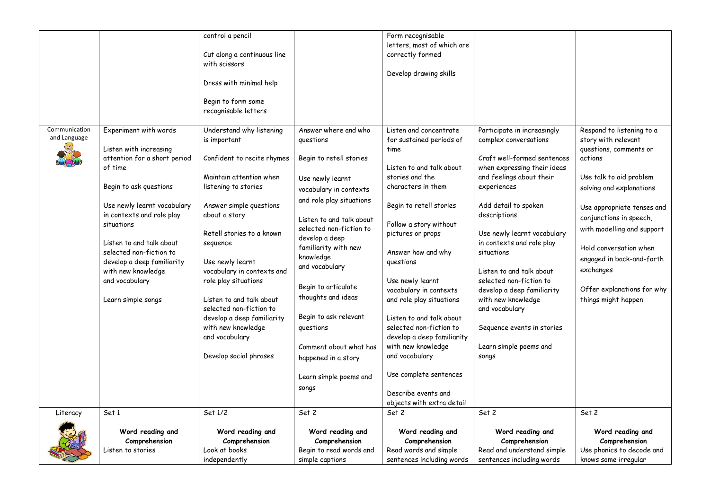|               |                              | control a pencil            |                          | Form recognisable          |                             |                            |
|---------------|------------------------------|-----------------------------|--------------------------|----------------------------|-----------------------------|----------------------------|
|               |                              |                             |                          | letters, most of which are |                             |                            |
|               |                              | Cut along a continuous line |                          | correctly formed           |                             |                            |
|               |                              | with scissors               |                          |                            |                             |                            |
|               |                              |                             |                          | Develop drawing skills     |                             |                            |
|               |                              | Dress with minimal help     |                          |                            |                             |                            |
|               |                              |                             |                          |                            |                             |                            |
|               |                              |                             |                          |                            |                             |                            |
|               |                              | Begin to form some          |                          |                            |                             |                            |
|               |                              | recognisable letters        |                          |                            |                             |                            |
|               |                              |                             |                          |                            |                             |                            |
| Communication | Experiment with words        | Understand why listening    | Answer where and who     | Listen and concentrate     | Participate in increasingly | Respond to listening to a  |
| and Language  |                              | is important                | guestions                | for sustained periods of   | complex conversations       | story with relevant        |
|               | Listen with increasing       |                             |                          | time                       |                             | questions, comments or     |
|               | attention for a short period | Confident to recite rhymes  | Begin to retell stories  |                            | Craft well-formed sentences | actions                    |
|               | of time                      |                             |                          | Listen to and talk about   | when expressing their ideas |                            |
|               |                              | Maintain attention when     | Use newly learnt         | stories and the            | and feelings about their    | Use talk to aid problem    |
|               | Begin to ask questions       | listening to stories        |                          | characters in them         | experiences                 |                            |
|               |                              |                             | vocabulary in contexts   |                            |                             | solving and explanations   |
|               |                              |                             | and role play situations |                            |                             |                            |
|               | Use newly learnt vocabulary  | Answer simple questions     |                          | Begin to retell stories    | Add detail to spoken        | Use appropriate tenses and |
|               | in contexts and role play    | about a story               | Listen to and talk about |                            | descriptions                | conjunctions in speech,    |
|               | situations                   |                             | selected non-fiction to  | Follow a story without     |                             | with modelling and support |
|               |                              | Retell stories to a known   | develop a deep           | pictures or props          | Use newly learnt vocabulary |                            |
|               | Listen to and talk about     | sequence                    | familiarity with new     |                            | in contexts and role play   | Hold conversation when     |
|               | selected non-fiction to      |                             |                          | Answer how and why         | situations                  |                            |
|               | develop a deep familiarity   | Use newly learnt            | knowledge                | questions                  |                             | engaged in back-and-forth  |
|               | with new knowledge           | vocabulary in contexts and  | and vocabulary           |                            | Listen to and talk about    | exchanges                  |
|               | and vocabulary               | role play situations        |                          | Use newly learnt           | selected non-fiction to     |                            |
|               |                              |                             | Begin to articulate      | vocabulary in contexts     | develop a deep familiarity  | Offer explanations for why |
|               |                              |                             | thoughts and ideas       |                            |                             |                            |
|               | Learn simple songs           | Listen to and talk about    |                          | and role play situations   | with new knowledge          | things might happen        |
|               |                              | selected non-fiction to     |                          |                            | and vocabulary              |                            |
|               |                              | develop a deep familiarity  | Begin to ask relevant    | Listen to and talk about   |                             |                            |
|               |                              | with new knowledge          | questions                | selected non-fiction to    | Sequence events in stories  |                            |
|               |                              | and vocabulary              |                          | develop a deep familiarity |                             |                            |
|               |                              |                             | Comment about what has   | with new knowledge         | Learn simple poems and      |                            |
|               |                              | Develop social phrases      | happened in a story      | and vocabulary             | songs                       |                            |
|               |                              |                             |                          |                            |                             |                            |
|               |                              |                             |                          | Use complete sentences     |                             |                            |
|               |                              |                             | Learn simple poems and   |                            |                             |                            |
|               |                              |                             | songs                    | Describe events and        |                             |                            |
|               |                              |                             |                          |                            |                             |                            |
|               |                              |                             |                          | objects with extra detail  |                             |                            |
| Literacy      | Set 1                        | Set 1/2                     | Set 2                    | Set 2                      | Set 2                       | Set 2                      |
|               |                              |                             |                          |                            |                             |                            |
|               | Word reading and             | Word reading and            | Word reading and         | Word reading and           | Word reading and            | Word reading and           |
|               | Comprehension                | Comprehension               | Comprehension            | Comprehension              | Comprehension               | Comprehension              |
|               | Listen to stories            | Look at books               | Begin to read words and  | Read words and simple      | Read and understand simple  | Use phonics to decode and  |
|               |                              | independently               | simple captions          | sentences including words  | sentences including words   | knows some irregular       |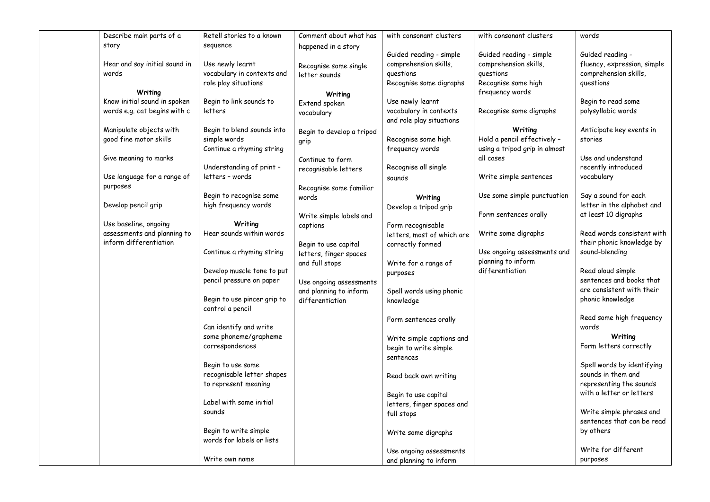| Describe main parts of a      | Retell stories to a known   | Comment about what has    | with consonant clusters    | with consonant clusters       | words                       |
|-------------------------------|-----------------------------|---------------------------|----------------------------|-------------------------------|-----------------------------|
| story                         | sequence                    | happened in a story       |                            |                               |                             |
|                               |                             |                           | Guided reading - simple    | Guided reading - simple       | Guided reading -            |
| Hear and say initial sound in | Use newly learnt            | Recognise some single     | comprehension skills,      | comprehension skills,         | fluency, expression, simple |
| words                         | vocabulary in contexts and  | letter sounds             | guestions                  | questions                     | comprehension skills,       |
|                               | role play situations        |                           | Recognise some digraphs    | Recognise some high           | questions                   |
| Writing                       |                             | Writing                   |                            | frequency words               |                             |
| Know initial sound in spoken  | Begin to link sounds to     | Extend spoken             | Use newly learnt           |                               | Begin to read some          |
| words e.g. cat begins with c  | letters                     | vocabulary                | vocabulary in contexts     | Recognise some digraphs       | polysyllabic words          |
|                               |                             |                           | and role play situations   |                               |                             |
| Manipulate objects with       | Begin to blend sounds into  | Begin to develop a tripod |                            | Writing                       | Anticipate key events in    |
| good fine motor skills        | simple words                | grip                      | Recognise some high        | Hold a pencil effectively -   | stories                     |
|                               | Continue a rhyming string   |                           | frequency words            | using a tripod grip in almost |                             |
| Give meaning to marks         |                             | Continue to form          |                            | all cases                     | Use and understand          |
|                               | Understanding of print -    | recognisable letters      | Recognise all single       |                               | recently introduced         |
| Use language for a range of   | letters - words             |                           | sounds                     | Write simple sentences        | vocabulary                  |
| purposes                      |                             | Recognise some familiar   |                            |                               |                             |
|                               | Begin to recognise some     | words                     | Writing                    | Use some simple punctuation   | Say a sound for each        |
| Develop pencil grip           | high frequency words        |                           | Develop a tripod grip      |                               | letter in the alphabet and  |
|                               |                             | Write simple labels and   |                            | Form sentences orally         | at least 10 digraphs        |
| Use baseline, ongoing         | Writing                     | captions                  | Form recognisable          |                               |                             |
| assessments and planning to   | Hear sounds within words    |                           | letters, most of which are | Write some digraphs           | Read words consistent with  |
| inform differentiation        |                             | Begin to use capital      | correctly formed           |                               | their phonic knowledge by   |
|                               | Continue a rhyming string   | letters, finger spaces    |                            | Use ongoing assessments and   | sound-blending              |
|                               |                             | and full stops            | Write for a range of       | planning to inform            |                             |
|                               | Develop muscle tone to put  |                           | purposes                   | differentiation               | Read aloud simple           |
|                               | pencil pressure on paper    | Use ongoing assessments   |                            |                               | sentences and books that    |
|                               |                             | and planning to inform    | Spell words using phonic   |                               | are consistent with their   |
|                               | Begin to use pincer grip to | differentiation           | knowledge                  |                               | phonic knowledge            |
|                               | control a pencil            |                           |                            |                               |                             |
|                               |                             |                           | Form sentences orally      |                               | Read some high frequency    |
|                               | Can identify and write      |                           |                            |                               | words                       |
|                               | some phoneme/grapheme       |                           | Write simple captions and  |                               | Writing                     |
|                               | correspondences             |                           | begin to write simple      |                               | Form letters correctly      |
|                               |                             |                           | sentences                  |                               |                             |
|                               | Begin to use some           |                           |                            |                               | Spell words by identifying  |
|                               | recognisable letter shapes  |                           | Read back own writing      |                               | sounds in them and          |
|                               | to represent meaning        |                           |                            |                               | representing the sounds     |
|                               |                             |                           | Begin to use capital       |                               | with a letter or letters    |
|                               | Label with some initial     |                           | letters, finger spaces and |                               |                             |
|                               | sounds                      |                           | full stops                 |                               | Write simple phrases and    |
|                               |                             |                           |                            |                               | sentences that can be read  |
|                               | Begin to write simple       |                           | Write some digraphs        |                               | by others                   |
|                               | words for labels or lists   |                           |                            |                               |                             |
|                               |                             |                           | Use ongoing assessments    |                               | Write for different         |
|                               | Write own name              |                           | and planning to inform     |                               | purposes                    |
|                               |                             |                           |                            |                               |                             |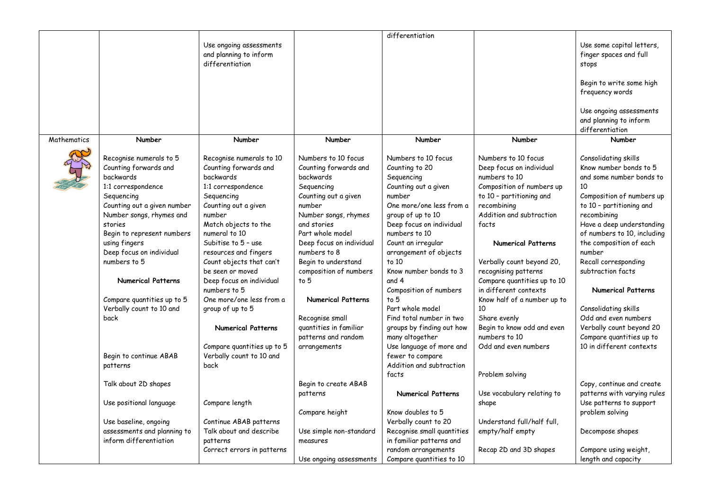|             |                             |                            |                           | differentiation            |                             |                             |
|-------------|-----------------------------|----------------------------|---------------------------|----------------------------|-----------------------------|-----------------------------|
|             |                             | Use ongoing assessments    |                           |                            |                             | Use some capital letters,   |
|             |                             | and planning to inform     |                           |                            |                             | finger spaces and full      |
|             |                             | differentiation            |                           |                            |                             | stops                       |
|             |                             |                            |                           |                            |                             |                             |
|             |                             |                            |                           |                            |                             |                             |
|             |                             |                            |                           |                            |                             | Begin to write some high    |
|             |                             |                            |                           |                            |                             | frequency words             |
|             |                             |                            |                           |                            |                             |                             |
|             |                             |                            |                           |                            |                             | Use ongoing assessments     |
|             |                             |                            |                           |                            |                             | and planning to inform      |
|             |                             |                            |                           |                            |                             | differentiation             |
| Mathematics | Number                      | Number                     | Number                    | Number                     | Number                      | <b>Number</b>               |
|             |                             |                            |                           |                            |                             |                             |
|             | Recognise numerals to 5     | Recognise numerals to 10   | Numbers to 10 focus       | Numbers to 10 focus        | Numbers to 10 focus         | Consolidating skills        |
|             | Counting forwards and       | Counting forwards and      | Counting forwards and     | Counting to 20             | Deep focus on individual    | Know number bonds to 5      |
|             | backwards                   | backwards                  | backwards                 | Sequencing                 | numbers to 10               | and some number bonds to    |
|             | 1:1 correspondence          | 1:1 correspondence         | Sequencing                | Counting out a given       | Composition of numbers up   | 10                          |
|             | Sequencing                  | Sequencing                 | Counting out a given      | number                     | to 10 - partitioning and    | Composition of numbers up   |
|             | Counting out a given number | Counting out a given       | number                    | One more/one less from a   | recombining                 | to 10 - partitioning and    |
|             | Number songs, rhymes and    | number                     | Number songs, rhymes      | group of up to 10          | Addition and subtraction    | recombining                 |
|             | stories                     | Match objects to the       | and stories               | Deep focus on individual   | facts                       | Have a deep understanding   |
|             | Begin to represent numbers  | numeral to 10              | Part whole model          | numbers to 10              |                             | of numbers to 10, including |
|             | using fingers               | Subitise to 5 - use        | Deep focus on individual  | Count an irregular         | <b>Numerical Patterns</b>   | the composition of each     |
|             | Deep focus on individual    | resources and fingers      | numbers to 8              | arrangement of objects     |                             | number                      |
|             | numbers to 5                | Count objects that can't   | Begin to understand       | to 10                      | Verbally count beyond 20,   | Recall corresponding        |
|             |                             | be seen or moved           | composition of numbers    | Know number bonds to 3     | recognising patterns        | subtraction facts           |
|             | <b>Numerical Patterns</b>   | Deep focus on individual   | to 5                      | and 4                      | Compare quantities up to 10 |                             |
|             |                             | numbers to 5               |                           | Composition of numbers     | in different contexts       | <b>Numerical Patterns</b>   |
|             | Compare quantities up to 5  | One more/one less from a   | <b>Numerical Patterns</b> | to 5                       | Know half of a number up to |                             |
|             | Verbally count to 10 and    | group of up to 5           |                           | Part whole model           | 10                          | Consolidating skills        |
|             | back                        |                            | Recognise small           | Find total number in two   | Share evenly                | Odd and even numbers        |
|             |                             | <b>Numerical Patterns</b>  | quantities in familiar    | groups by finding out how  | Begin to know odd and even  | Verbally count beyond 20    |
|             |                             |                            | patterns and random       | many altogether            | numbers to 10               | Compare quantities up to    |
|             |                             | Compare quantities up to 5 |                           | Use language of more and   | Odd and even numbers        | 10 in different contexts    |
|             |                             |                            | arrangements              |                            |                             |                             |
|             | Begin to continue ABAB      | Verbally count to 10 and   |                           | fewer to compare           |                             |                             |
|             | patterns                    | back                       |                           | Addition and subtraction   |                             |                             |
|             |                             |                            |                           | facts                      | Problem solving             |                             |
|             | Talk about 2D shapes        |                            | Begin to create ABAB      |                            |                             | Copy, continue and create   |
|             |                             |                            | patterns                  | <b>Numerical Patterns</b>  | Use vocabulary relating to  | patterns with varying rules |
|             | Use positional language     | Compare length             |                           |                            | shape                       | Use patterns to support     |
|             |                             |                            | Compare height            | Know doubles to 5          |                             | problem solving             |
|             | Use baseline, ongoing       | Continue ABAB patterns     |                           | Verbally count to 20       | Understand full/half full,  |                             |
|             | assessments and planning to | Talk about and describe    | Use simple non-standard   | Recognise small quantities | empty/half empty            | Decompose shapes            |
|             | inform differentiation      | patterns                   | measures                  | in familiar patterns and   |                             |                             |
|             |                             | Correct errors in patterns |                           | random arrangements        | Recap 2D and 3D shapes      | Compare using weight,       |
|             |                             |                            | Use ongoing assessments   | Compare quantities to 10   |                             | length and capacity         |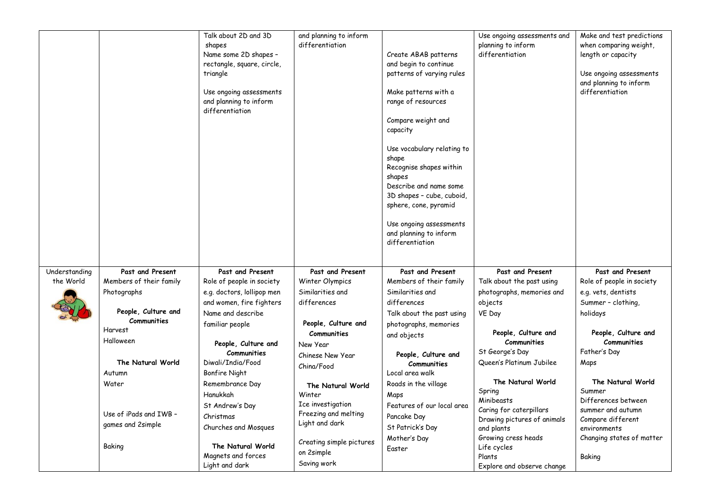|                            |                                             | Talk about 2D and 3D<br>shapes<br>Name some 2D shapes -<br>rectangle, square, circle,<br>triangle<br>Use ongoing assessments<br>and planning to inform<br>differentiation | and planning to inform<br>differentiation | Create ABAB patterns<br>and begin to continue<br>patterns of varying rules<br>Make patterns with a<br>range of resources<br>Compare weight and<br>capacity<br>Use vocabulary relating to<br>shape<br>Recognise shapes within<br>shapes<br>Describe and name some<br>3D shapes - cube, cuboid,<br>sphere, cone, pyramid<br>Use ongoing assessments<br>and planning to inform<br>differentiation | Use ongoing assessments and<br>planning to inform<br>differentiation | Make and test predictions<br>when comparing weight,<br>length or capacity<br>Use ongoing assessments<br>and planning to inform<br>differentiation |
|----------------------------|---------------------------------------------|---------------------------------------------------------------------------------------------------------------------------------------------------------------------------|-------------------------------------------|------------------------------------------------------------------------------------------------------------------------------------------------------------------------------------------------------------------------------------------------------------------------------------------------------------------------------------------------------------------------------------------------|----------------------------------------------------------------------|---------------------------------------------------------------------------------------------------------------------------------------------------|
| Understanding<br>the World | Past and Present<br>Members of their family | Past and Present<br>Role of people in society                                                                                                                             | Past and Present<br>Winter Olympics       | Past and Present<br>Members of their family                                                                                                                                                                                                                                                                                                                                                    | Past and Present<br>Talk about the past using                        | Past and Present<br>Role of people in society                                                                                                     |
|                            | Photographs                                 | e.g. doctors, lollipop men                                                                                                                                                | Similarities and                          | Similarities and                                                                                                                                                                                                                                                                                                                                                                               | photographs, memories and                                            | e.g. vets, dentists                                                                                                                               |
|                            |                                             | and women, fire fighters                                                                                                                                                  | differences                               | differences                                                                                                                                                                                                                                                                                                                                                                                    | objects                                                              | Summer - clothing,                                                                                                                                |
|                            | People, Culture and<br>Communities          | Name and describe                                                                                                                                                         | People, Culture and                       | Talk about the past using                                                                                                                                                                                                                                                                                                                                                                      | VE Day                                                               | holidays                                                                                                                                          |
|                            | <b>Harvest</b>                              | familiar people                                                                                                                                                           | <b>Communities</b>                        | photographs, memories<br>and objects                                                                                                                                                                                                                                                                                                                                                           | People, Culture and                                                  | People, Culture and                                                                                                                               |
|                            | Halloween                                   | People, Culture and                                                                                                                                                       | New Year                                  |                                                                                                                                                                                                                                                                                                                                                                                                | Communities                                                          | Communities                                                                                                                                       |
|                            |                                             | Communities<br>Diwali/India/Food                                                                                                                                          | Chinese New Year                          | People, Culture and                                                                                                                                                                                                                                                                                                                                                                            | St George's Day                                                      | Father's Day                                                                                                                                      |
|                            | The Natural World<br>Autumn                 | Bonfire Night                                                                                                                                                             | China/Food                                | <b>Communities</b><br>Local area walk                                                                                                                                                                                                                                                                                                                                                          | Queen's Platinum Jubilee                                             | Maps                                                                                                                                              |
|                            | Water                                       | Remembrance Day                                                                                                                                                           | The Natural World                         | Roads in the village                                                                                                                                                                                                                                                                                                                                                                           | The Natural World                                                    | The Natural World                                                                                                                                 |
|                            |                                             | Hanukkah                                                                                                                                                                  | Winter                                    | Maps                                                                                                                                                                                                                                                                                                                                                                                           | Spring<br>Minibeasts                                                 | Summer<br>Differences between                                                                                                                     |
|                            | Use of iPads and IWB -                      | St Andrew's Day                                                                                                                                                           | Ice investigation<br>Freezing and melting | Features of our local area                                                                                                                                                                                                                                                                                                                                                                     | Caring for caterpillars                                              | summer and autumn                                                                                                                                 |
|                            | games and 2simple                           | Christmas                                                                                                                                                                 | Light and dark                            | Pancake Day                                                                                                                                                                                                                                                                                                                                                                                    | Drawing pictures of animals                                          | Compare different                                                                                                                                 |
|                            |                                             | Churches and Mosques                                                                                                                                                      |                                           | St Patrick's Day<br>Mother's Day                                                                                                                                                                                                                                                                                                                                                               | and plants<br>Growing cress heads                                    | environments<br>Changing states of matter                                                                                                         |
|                            | Baking                                      | The Natural World                                                                                                                                                         | Creating simple pictures<br>on 2simple    | Easter                                                                                                                                                                                                                                                                                                                                                                                         | Life cycles                                                          |                                                                                                                                                   |
|                            |                                             | Magnets and forces<br>Light and dark                                                                                                                                      | Saving work                               |                                                                                                                                                                                                                                                                                                                                                                                                | Plants<br>Explore and observe change                                 | Baking                                                                                                                                            |
|                            |                                             |                                                                                                                                                                           |                                           |                                                                                                                                                                                                                                                                                                                                                                                                |                                                                      |                                                                                                                                                   |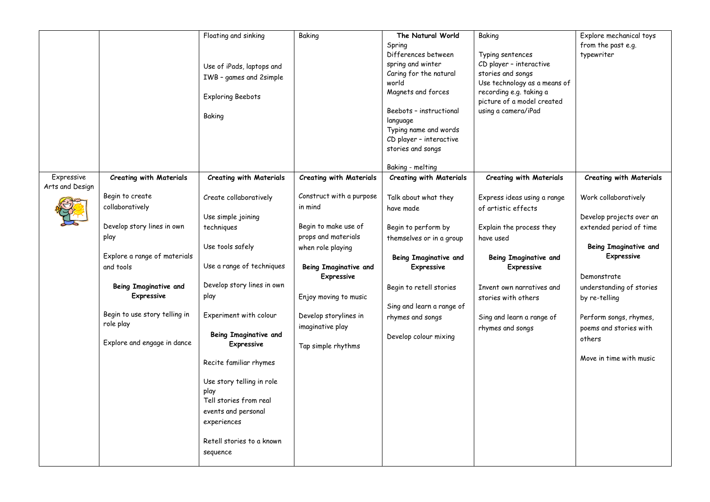|                 |                                | Floating and sinking           | Baking                         | The Natural World                 | Baking                         | Explore mechanical toys        |
|-----------------|--------------------------------|--------------------------------|--------------------------------|-----------------------------------|--------------------------------|--------------------------------|
|                 |                                |                                |                                | Spring                            |                                | from the past e.g.             |
|                 |                                |                                |                                | Differences between               | Typing sentences               | typewriter                     |
|                 |                                | Use of iPads, laptops and      |                                | spring and winter                 | CD player - interactive        |                                |
|                 |                                | IWB - games and 2simple        |                                | Caring for the natural            | stories and songs              |                                |
|                 |                                |                                |                                | world                             | Use technology as a means of   |                                |
|                 |                                | <b>Exploring Beebots</b>       |                                | Magnets and forces                | recording e.g. taking a        |                                |
|                 |                                |                                |                                |                                   | picture of a model created     |                                |
|                 |                                | Baking                         |                                | Beebots - instructional           | using a camera/iPad            |                                |
|                 |                                |                                |                                | language<br>Typing name and words |                                |                                |
|                 |                                |                                |                                | CD player - interactive           |                                |                                |
|                 |                                |                                |                                | stories and songs                 |                                |                                |
|                 |                                |                                |                                |                                   |                                |                                |
|                 |                                |                                |                                | Baking - melting                  |                                |                                |
| Expressive      | <b>Creating with Materials</b> | <b>Creating with Materials</b> | <b>Creating with Materials</b> | <b>Creating with Materials</b>    | <b>Creating with Materials</b> | <b>Creating with Materials</b> |
| Arts and Design |                                |                                |                                |                                   |                                |                                |
|                 | Begin to create                | Create collaboratively         | Construct with a purpose       | Talk about what they              | Express ideas using a range    | Work collaboratively           |
|                 | collaboratively                |                                | in mind                        | have made                         | of artistic effects            |                                |
|                 |                                | Use simple joining             |                                |                                   |                                | Develop projects over an       |
|                 | Develop story lines in own     | techniques                     | Begin to make use of           | Begin to perform by               | Explain the process they       | extended period of time        |
|                 | play                           |                                | props and materials            | themselves or in a group          | have used                      |                                |
|                 |                                | Use tools safely               | when role playing              |                                   |                                | Being Imaginative and          |
|                 | Explore a range of materials   |                                |                                | Being Imaginative and             | Being Imaginative and          | <b>Expressive</b>              |
|                 | and tools                      | Use a range of techniques      | <b>Being Imaginative and</b>   | <b>Expressive</b>                 | <b>Expressive</b>              |                                |
|                 |                                | Develop story lines in own     | <b>Expressive</b>              |                                   |                                | Demonstrate                    |
|                 | Being Imaginative and          |                                |                                | Begin to retell stories           | Invent own narratives and      | understanding of stories       |
|                 | Expressive                     | play                           | Enjoy moving to music          |                                   | stories with others            | by re-telling                  |
|                 | Begin to use story telling in  | Experiment with colour         | Develop storylines in          | Sing and learn a range of         |                                |                                |
|                 | role play                      |                                |                                | rhymes and songs                  | Sing and learn a range of      | Perform songs, rhymes,         |
|                 |                                | Being Imaginative and          | imaginative play               | Develop colour mixing             | rhymes and songs               | poems and stories with         |
|                 | Explore and engage in dance    | <b>Expressive</b>              | Tap simple rhythms             |                                   |                                | others                         |
|                 |                                |                                |                                |                                   |                                | Move in time with music        |
|                 |                                | Recite familiar rhymes         |                                |                                   |                                |                                |
|                 |                                |                                |                                |                                   |                                |                                |
|                 |                                | Use story telling in role      |                                |                                   |                                |                                |
|                 |                                | play                           |                                |                                   |                                |                                |
|                 |                                | Tell stories from real         |                                |                                   |                                |                                |
|                 |                                | events and personal            |                                |                                   |                                |                                |
|                 |                                | experiences                    |                                |                                   |                                |                                |
|                 |                                | Retell stories to a known      |                                |                                   |                                |                                |
|                 |                                |                                |                                |                                   |                                |                                |
|                 |                                | sequence                       |                                |                                   |                                |                                |
|                 |                                |                                |                                |                                   |                                |                                |